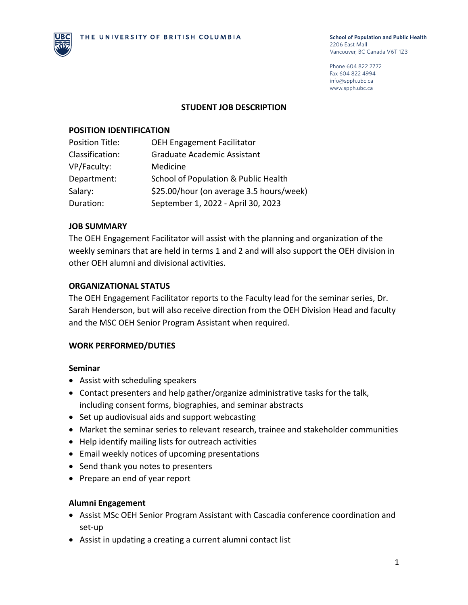

Phone 604 822 2772 Fax 604 822 4994 info@spph.ubc.ca www.spph.ubc.ca

#### **STUDENT JOB DESCRIPTION**

#### **POSITION IDENTIFICATION**

| <b>OEH Engagement Facilitator</b>        |
|------------------------------------------|
| Graduate Academic Assistant              |
| Medicine                                 |
| School of Population & Public Health     |
| \$25.00/hour (on average 3.5 hours/week) |
| September 1, 2022 - April 30, 2023       |
|                                          |

### **JOB SUMMARY**

The OEH Engagement Facilitator will assist with the planning and organization of the weekly seminars that are held in terms 1 and 2 and will also support the OEH division in other OEH alumni and divisional activities.

### **ORGANIZATIONAL STATUS**

The OEH Engagement Facilitator reports to the Faculty lead for the seminar series, Dr. Sarah Henderson, but will also receive direction from the OEH Division Head and faculty and the MSC OEH Senior Program Assistant when required.

#### **WORK PERFORMED/DUTIES**

#### **Seminar**

- Assist with scheduling speakers
- Contact presenters and help gather/organize administrative tasks for the talk, including consent forms, biographies, and seminar abstracts
- Set up audiovisual aids and support webcasting
- Market the seminar series to relevant research, trainee and stakeholder communities
- Help identify mailing lists for outreach activities
- Email weekly notices of upcoming presentations
- Send thank you notes to presenters
- Prepare an end of year report

#### **Alumni Engagement**

- Assist MSc OEH Senior Program Assistant with Cascadia conference coordination and set-up
- Assist in updating a creating a current alumni contact list